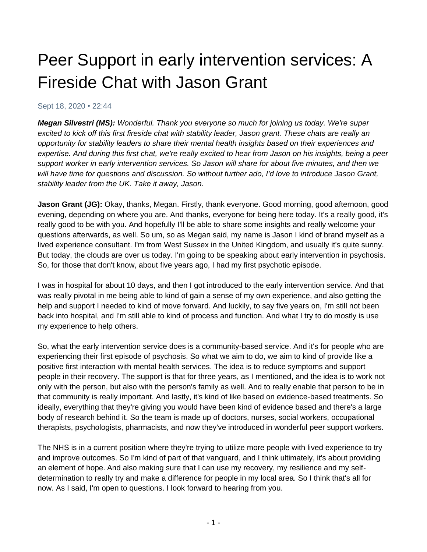# Peer Support in early intervention services: A Fireside Chat with Jason Grant

#### Sept 18, 2020 • 22:44

*Megan Silvestri (MS): Wonderful. Thank you everyone so much for joining us today. We're super excited to kick off this first fireside chat with stability leader, Jason grant. These chats are really an opportunity for stability leaders to share their mental health insights based on their experiences and expertise. And during this first chat, we're really excited to hear from Jason on his insights, being a peer support worker in early intervention services. So Jason will share for about five minutes, and then we will have time for questions and discussion. So without further ado, I'd love to introduce Jason Grant, stability leader from the UK. Take it away, Jason.*

**Jason Grant (JG):** Okay, thanks, Megan. Firstly, thank everyone. Good morning, good afternoon, good evening, depending on where you are. And thanks, everyone for being here today. It's a really good, it's really good to be with you. And hopefully I'll be able to share some insights and really welcome your questions afterwards, as well. So um, so as Megan said, my name is Jason I kind of brand myself as a lived experience consultant. I'm from West Sussex in the United Kingdom, and usually it's quite sunny. But today, the clouds are over us today. I'm going to be speaking about early intervention in psychosis. So, for those that don't know, about five years ago, I had my first psychotic episode.

I was in hospital for about 10 days, and then I got introduced to the early intervention service. And that was really pivotal in me being able to kind of gain a sense of my own experience, and also getting the help and support I needed to kind of move forward. And luckily, to say five years on, I'm still not been back into hospital, and I'm still able to kind of process and function. And what I try to do mostly is use my experience to help others.

So, what the early intervention service does is a community-based service. And it's for people who are experiencing their first episode of psychosis. So what we aim to do, we aim to kind of provide like a positive first interaction with mental health services. The idea is to reduce symptoms and support people in their recovery. The support is that for three years, as I mentioned, and the idea is to work not only with the person, but also with the person's family as well. And to really enable that person to be in that community is really important. And lastly, it's kind of like based on evidence-based treatments. So ideally, everything that they're giving you would have been kind of evidence based and there's a large body of research behind it. So the team is made up of doctors, nurses, social workers, occupational therapists, psychologists, pharmacists, and now they've introduced in wonderful peer support workers.

The NHS is in a current position where they're trying to utilize more people with lived experience to try and improve outcomes. So I'm kind of part of that vanguard, and I think ultimately, it's about providing an element of hope. And also making sure that I can use my recovery, my resilience and my selfdetermination to really try and make a difference for people in my local area. So I think that's all for now. As I said, I'm open to questions. I look forward to hearing from you.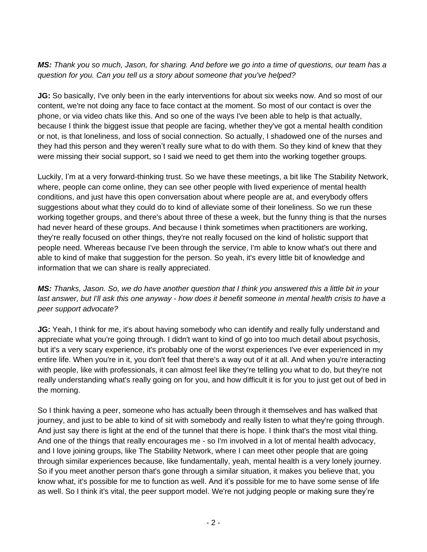### *MS: Thank you so much, Jason, for sharing. And before we go into a time of questions, our team has a question for you. Can you tell us a story about someone that you've helped?*

**JG:** So basically, I've only been in the early interventions for about six weeks now. And so most of our content, we're not doing any face to face contact at the moment. So most of our contact is over the phone, or via video chats like this. And so one of the ways I've been able to help is that actually, because I think the biggest issue that people are facing, whether they've got a mental health condition or not, is that loneliness, and loss of social connection. So actually, I shadowed one of the nurses and they had this person and they weren't really sure what to do with them. So they kind of knew that they were missing their social support, so I said we need to get them into the working together groups.

Luckily, I'm at a very forward-thinking trust. So we have these meetings, a bit like The Stability Network, where, people can come online, they can see other people with lived experience of mental health conditions, and just have this open conversation about where people are at, and everybody offers suggestions about what they could do to kind of alleviate some of their loneliness. So we run these working together groups, and there's about three of these a week, but the funny thing is that the nurses had never heard of these groups. And because I think sometimes when practitioners are working, they're really focused on other things, they're not really focused on the kind of holistic support that people need. Whereas because I've been through the service, I'm able to know what's out there and able to kind of make that suggestion for the person. So yeah, it's every little bit of knowledge and information that we can share is really appreciated.

*MS: Thanks, Jason. So, we do have another question that I think you answered this a little bit in your last answer, but I'll ask this one anyway - how does it benefit someone in mental health crisis to have a peer support advocate?*

**JG:** Yeah, I think for me, it's about having somebody who can identify and really fully understand and appreciate what you're going through. I didn't want to kind of go into too much detail about psychosis, but it's a very scary experience, it's probably one of the worst experiences I've ever experienced in my entire life. When you're in it, you don't feel that there's a way out of it at all. And when you're interacting with people, like with professionals, it can almost feel like they're telling you what to do, but they're not really understanding what's really going on for you, and how difficult it is for you to just get out of bed in the morning.

So I think having a peer, someone who has actually been through it themselves and has walked that journey, and just to be able to kind of sit with somebody and really listen to what they're going through. And just say there is light at the end of the tunnel that there is hope. I think that's the most vital thing. And one of the things that really encourages me - so I'm involved in a lot of mental health advocacy, and I love joining groups, like The Stability Network, where I can meet other people that are going through similar experiences because, like fundamentally, yeah, mental health is a very lonely journey. So if you meet another person that's gone through a similar situation, it makes you believe that, you know what, it's possible for me to function as well. And it's possible for me to have some sense of life as well. So I think it's vital, the peer support model. We're not judging people or making sure they're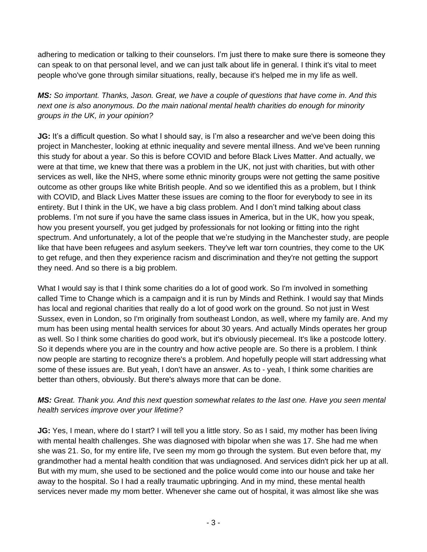adhering to medication or talking to their counselors. I'm just there to make sure there is someone they can speak to on that personal level, and we can just talk about life in general. I think it's vital to meet people who've gone through similar situations, really, because it's helped me in my life as well.

*MS: So important. Thanks, Jason. Great, we have a couple of questions that have come in. And this next one is also anonymous. Do the main national mental health charities do enough for minority groups in the UK, in your opinion?*

**JG:** It's a difficult question. So what I should say, is I'm also a researcher and we've been doing this project in Manchester, looking at ethnic inequality and severe mental illness. And we've been running this study for about a year. So this is before COVID and before Black Lives Matter. And actually, we were at that time, we knew that there was a problem in the UK, not just with charities, but with other services as well, like the NHS, where some ethnic minority groups were not getting the same positive outcome as other groups like white British people. And so we identified this as a problem, but I think with COVID, and Black Lives Matter these issues are coming to the floor for everybody to see in its entirety. But I think in the UK, we have a big class problem. And I don't mind talking about class problems. I'm not sure if you have the same class issues in America, but in the UK, how you speak, how you present yourself, you get judged by professionals for not looking or fitting into the right spectrum. And unfortunately, a lot of the people that we're studying in the Manchester study, are people like that have been refugees and asylum seekers. They've left war torn countries, they come to the UK to get refuge, and then they experience racism and discrimination and they're not getting the support they need. And so there is a big problem.

What I would say is that I think some charities do a lot of good work. So I'm involved in something called Time to Change which is a campaign and it is run by Minds and Rethink. I would say that Minds has local and regional charities that really do a lot of good work on the ground. So not just in West Sussex, even in London, so I'm originally from southeast London, as well, where my family are. And my mum has been using mental health services for about 30 years. And actually Minds operates her group as well. So I think some charities do good work, but it's obviously piecemeal. It's like a postcode lottery. So it depends where you are in the country and how active people are. So there is a problem. I think now people are starting to recognize there's a problem. And hopefully people will start addressing what some of these issues are. But yeah, I don't have an answer. As to - yeah, I think some charities are better than others, obviously. But there's always more that can be done.

## *MS: Great. Thank you. And this next question somewhat relates to the last one. Have you seen mental health services improve over your lifetime?*

**JG:** Yes, I mean, where do I start? I will tell you a little story. So as I said, my mother has been living with mental health challenges. She was diagnosed with bipolar when she was 17. She had me when she was 21. So, for my entire life, I've seen my mom go through the system. But even before that, my grandmother had a mental health condition that was undiagnosed. And services didn't pick her up at all. But with my mum, she used to be sectioned and the police would come into our house and take her away to the hospital. So I had a really traumatic upbringing. And in my mind, these mental health services never made my mom better. Whenever she came out of hospital, it was almost like she was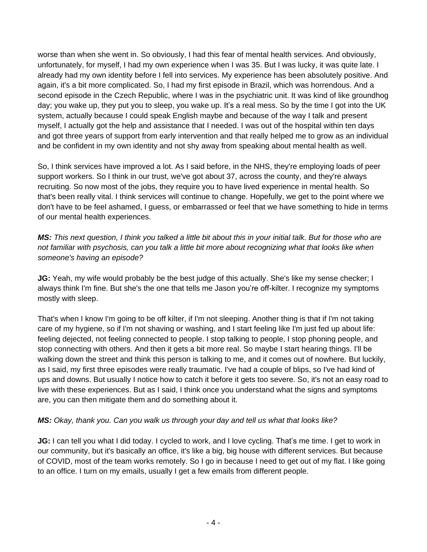worse than when she went in. So obviously, I had this fear of mental health services. And obviously, unfortunately, for myself, I had my own experience when I was 35. But I was lucky, it was quite late. I already had my own identity before I fell into services. My experience has been absolutely positive. And again, it's a bit more complicated. So, I had my first episode in Brazil, which was horrendous. And a second episode in the Czech Republic, where I was in the psychiatric unit. It was kind of like groundhog day; you wake up, they put you to sleep, you wake up. It's a real mess. So by the time I got into the UK system, actually because I could speak English maybe and because of the way I talk and present myself, I actually got the help and assistance that I needed. I was out of the hospital within ten days and got three years of support from early intervention and that really helped me to grow as an individual and be confident in my own identity and not shy away from speaking about mental health as well.

So, I think services have improved a lot. As I said before, in the NHS, they're employing loads of peer support workers. So I think in our trust, we've got about 37, across the county, and they're always recruiting. So now most of the jobs, they require you to have lived experience in mental health. So that's been really vital. I think services will continue to change. Hopefully, we get to the point where we don't have to be feel ashamed, I guess, or embarrassed or feel that we have something to hide in terms of our mental health experiences.

*MS: This next question, I think you talked a little bit about this in your initial talk. But for those who are not familiar with psychosis, can you talk a little bit more about recognizing what that looks like when someone's having an episode?*

**JG:** Yeah, my wife would probably be the best judge of this actually. She's like my sense checker; I always think I'm fine. But she's the one that tells me Jason you're off-kilter. I recognize my symptoms mostly with sleep.

That's when I know I'm going to be off kilter, if I'm not sleeping. Another thing is that if I'm not taking care of my hygiene, so if I'm not shaving or washing, and I start feeling like I'm just fed up about life: feeling dejected, not feeling connected to people. I stop talking to people, I stop phoning people, and stop connecting with others. And then it gets a bit more real. So maybe I start hearing things. I'll be walking down the street and think this person is talking to me, and it comes out of nowhere. But luckily, as I said, my first three episodes were really traumatic. I've had a couple of blips, so I've had kind of ups and downs. But usually I notice how to catch it before it gets too severe. So, it's not an easy road to live with these experiences. But as I said, I think once you understand what the signs and symptoms are, you can then mitigate them and do something about it.

### *MS: Okay, thank you. Can you walk us through your day and tell us what that looks like?*

**JG:** I can tell you what I did today. I cycled to work, and I love cycling. That's me time. I get to work in our community, but it's basically an office, it's like a big, big house with different services. But because of COVID, most of the team works remotely. So I go in because I need to get out of my flat. I like going to an office. I turn on my emails, usually I get a few emails from different people.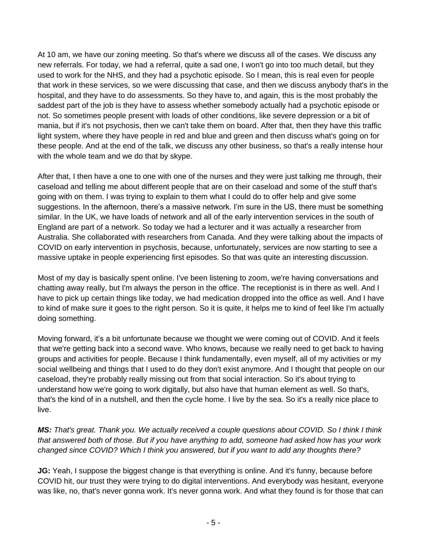At 10 am, we have our zoning meeting. So that's where we discuss all of the cases. We discuss any new referrals. For today, we had a referral, quite a sad one, I won't go into too much detail, but they used to work for the NHS, and they had a psychotic episode. So I mean, this is real even for people that work in these services, so we were discussing that case, and then we discuss anybody that's in the hospital, and they have to do assessments. So they have to, and again, this is the most probably the saddest part of the job is they have to assess whether somebody actually had a psychotic episode or not. So sometimes people present with loads of other conditions, like severe depression or a bit of mania, but if it's not psychosis, then we can't take them on board. After that, then they have this traffic light system, where they have people in red and blue and green and then discuss what's going on for these people. And at the end of the talk, we discuss any other business, so that's a really intense hour with the whole team and we do that by skype.

After that, I then have a one to one with one of the nurses and they were just talking me through, their caseload and telling me about different people that are on their caseload and some of the stuff that's going with on them. I was trying to explain to them what I could do to offer help and give some suggestions. In the afternoon, there's a massive network. I'm sure in the US, there must be something similar. In the UK, we have loads of network and all of the early intervention services in the south of England are part of a network. So today we had a lecturer and it was actually a researcher from Australia. She collaborated with researchers from Canada. And they were talking about the impacts of COVID on early intervention in psychosis, because, unfortunately, services are now starting to see a massive uptake in people experiencing first episodes. So that was quite an interesting discussion.

Most of my day is basically spent online. I've been listening to zoom, we're having conversations and chatting away really, but I'm always the person in the office. The receptionist is in there as well. And I have to pick up certain things like today, we had medication dropped into the office as well. And I have to kind of make sure it goes to the right person. So it is quite, it helps me to kind of feel like I'm actually doing something.

Moving forward, it's a bit unfortunate because we thought we were coming out of COVID. And it feels that we're getting back into a second wave. Who knows, because we really need to get back to having groups and activities for people. Because I think fundamentally, even myself, all of my activities or my social wellbeing and things that I used to do they don't exist anymore. And I thought that people on our caseload, they're probably really missing out from that social interaction. So it's about trying to understand how we're going to work digitally, but also have that human element as well. So that's, that's the kind of in a nutshell, and then the cycle home. I live by the sea. So it's a really nice place to live.

*MS: That's great. Thank you. We actually received a couple questions about COVID. So I think I think that answered both of those. But if you have anything to add, someone had asked how has your work changed since COVID? Which I think you answered, but if you want to add any thoughts there?*

**JG:** Yeah, I suppose the biggest change is that everything is online. And it's funny, because before COVID hit, our trust they were trying to do digital interventions. And everybody was hesitant, everyone was like, no, that's never gonna work. It's never gonna work. And what they found is for those that can